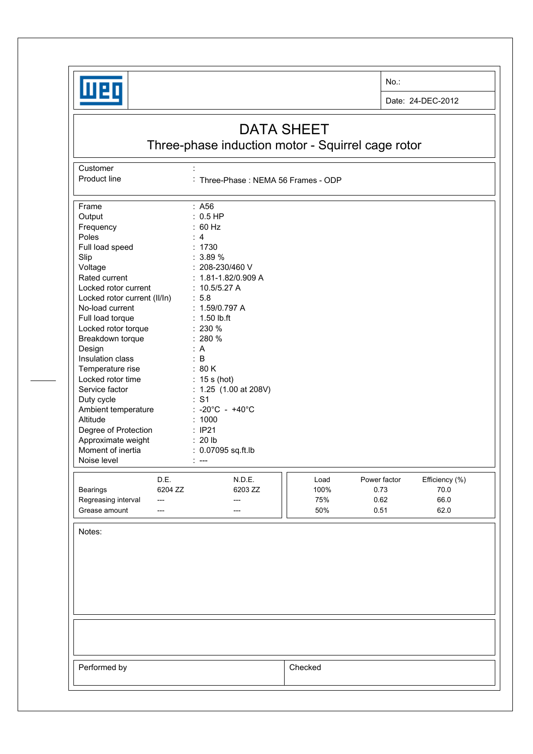

No.:

Date: 24-DEC-2012

## DATA SHEET

Three-phase induction motor - Squirrel cage rotor

Customer : the state of the state of the state of the state of the state of the state of the state of the state of the state of the state of the state of the state of the state of the state of the state of the state of the

Product line : Three-Phase : NEMA 56 Frames - ODP

| Frame                        | : A56                                |         |              |                |  |  |  |  |
|------------------------------|--------------------------------------|---------|--------------|----------------|--|--|--|--|
| Output                       | $: 0.5$ HP                           |         |              |                |  |  |  |  |
| Frequency                    | : 60 Hz                              |         |              |                |  |  |  |  |
| Poles                        | : 4                                  |         |              |                |  |  |  |  |
| Full load speed              | : 1730                               |         |              |                |  |  |  |  |
| Slip                         | : 3.89%                              |         |              |                |  |  |  |  |
| Voltage                      | : 208-230/460 V                      |         |              |                |  |  |  |  |
| Rated current                | $: 1.81 - 1.82 / 0.909 A$            |         |              |                |  |  |  |  |
| Locked rotor current         | : $10.5/5.27 A$<br>: 5.8             |         |              |                |  |  |  |  |
| Locked rotor current (II/In) |                                      |         |              |                |  |  |  |  |
| No-load current              | : $1.59/0.797 A$                     |         |              |                |  |  |  |  |
| Full load torque             | $: 1.50$ lb.ft<br>: 230 %<br>: 280 % |         |              |                |  |  |  |  |
| Locked rotor torque          |                                      |         |              |                |  |  |  |  |
| Breakdown torque             |                                      |         |              |                |  |  |  |  |
| Design                       | : A                                  |         |              |                |  |  |  |  |
| Insulation class             | : $B$                                |         |              |                |  |  |  |  |
| Temperature rise             | : 80 K                               |         |              |                |  |  |  |  |
| Locked rotor time            | $: 15s$ (hot)                        |         |              |                |  |  |  |  |
| Service factor               | : $1.25$ (1.00 at 208V)              |         |              |                |  |  |  |  |
| Duty cycle                   | : S1                                 |         |              |                |  |  |  |  |
| Ambient temperature          | : -20°C - +40°C                      |         |              |                |  |  |  |  |
| Altitude                     | : 1000                               |         |              |                |  |  |  |  |
| Degree of Protection         | : IP21                               |         |              |                |  |  |  |  |
| Approximate weight           | : 20 lb                              |         |              |                |  |  |  |  |
| Moment of inertia            | : 0.07095 sq.ft.lb                   |         |              |                |  |  |  |  |
| Noise level                  | $---$                                |         |              |                |  |  |  |  |
| D.E.                         | N.D.E.                               | Load    | Power factor | Efficiency (%) |  |  |  |  |
| Bearings<br>6204 ZZ          | 6203 ZZ                              | 100%    | 0.73         | 70.0           |  |  |  |  |
| Regreasing interval<br>$---$ | ---                                  | 75%     | 0.62         | 66.0           |  |  |  |  |
| Grease amount<br>$---$       | ---                                  | 50%     | 0.51         | 62.0           |  |  |  |  |
|                              |                                      |         |              |                |  |  |  |  |
| Notes:                       |                                      |         |              |                |  |  |  |  |
|                              |                                      |         |              |                |  |  |  |  |
|                              |                                      |         |              |                |  |  |  |  |
|                              |                                      |         |              |                |  |  |  |  |
|                              |                                      |         |              |                |  |  |  |  |
|                              |                                      |         |              |                |  |  |  |  |
|                              |                                      |         |              |                |  |  |  |  |
|                              |                                      |         |              |                |  |  |  |  |
|                              |                                      |         |              |                |  |  |  |  |
|                              |                                      |         |              |                |  |  |  |  |
|                              |                                      |         |              |                |  |  |  |  |
| Performed by                 |                                      | Checked |              |                |  |  |  |  |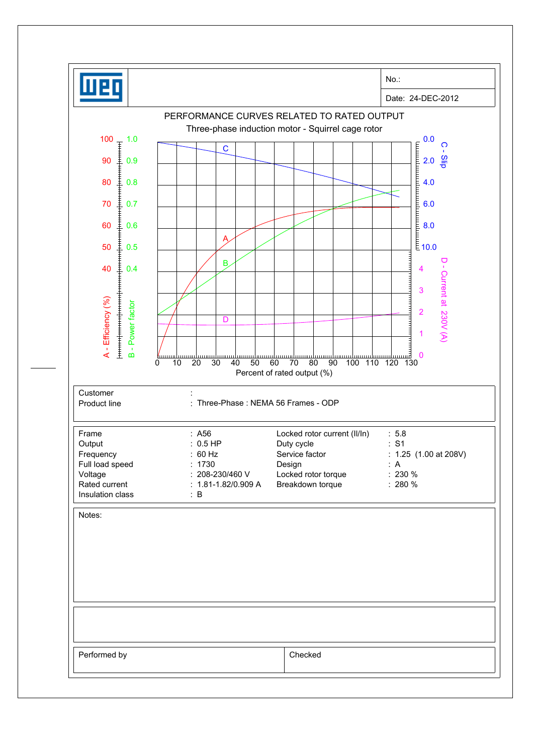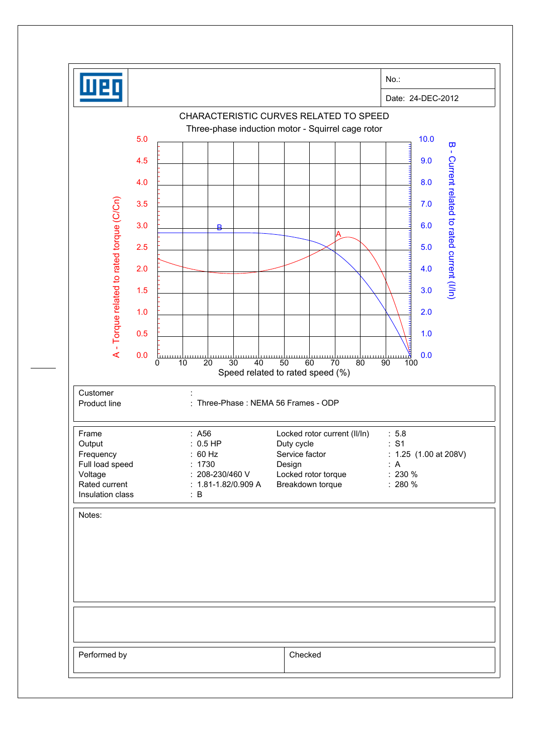|                                           |                                              |       |                                                   |    |                              |                               |                                  |       | No.:                     |                                         |  |
|-------------------------------------------|----------------------------------------------|-------|---------------------------------------------------|----|------------------------------|-------------------------------|----------------------------------|-------|--------------------------|-----------------------------------------|--|
|                                           |                                              |       |                                                   |    |                              |                               |                                  |       |                          | Date: 24-DEC-2012                       |  |
|                                           |                                              |       | CHARACTERISTIC CURVES RELATED TO SPEED            |    |                              |                               |                                  |       |                          |                                         |  |
|                                           | 5.0                                          |       | Three-phase induction motor - Squirrel cage rotor |    |                              |                               |                                  |       |                          | 10.0                                    |  |
|                                           |                                              |       |                                                   |    |                              |                               |                                  |       |                          | $\overline{\mathbf{u}}$<br>$\mathbf{I}$ |  |
|                                           | 4.5                                          |       |                                                   |    |                              |                               |                                  |       |                          | 9.0                                     |  |
|                                           | 4.0                                          |       |                                                   |    |                              |                               |                                  |       |                          | 8.0                                     |  |
|                                           | 3.5                                          |       |                                                   |    |                              |                               |                                  |       |                          | 7.0                                     |  |
|                                           | 3.0                                          |       | ₿.                                                |    |                              |                               |                                  |       |                          | 6.0                                     |  |
|                                           | 2.5                                          |       |                                                   |    |                              |                               | А                                |       |                          | 5.0                                     |  |
|                                           | 2.0                                          |       |                                                   |    |                              |                               |                                  |       |                          | 4.0                                     |  |
|                                           |                                              |       |                                                   |    |                              |                               |                                  |       |                          | Current related to rated current (I/In) |  |
|                                           | 1.5                                          |       |                                                   |    |                              |                               |                                  |       |                          | 3.0                                     |  |
| A - Torque related to rated torque (C/Cn) | 1.0                                          |       |                                                   |    |                              |                               |                                  |       |                          | 2.0<br>шшш                              |  |
|                                           | 0.5                                          |       |                                                   |    |                              |                               |                                  |       |                          | 1.0                                     |  |
|                                           | 0.0<br>u.<br>0                               | 10    | $\overline{20}$                                   | 30 | 40                           | 50<br>60                      | 70                               | 80    | шıN<br>90                | 0.0<br>100                              |  |
|                                           |                                              |       |                                                   |    |                              |                               | Speed related to rated speed (%) |       |                          |                                         |  |
| Customer                                  |                                              |       |                                                   |    |                              |                               |                                  |       |                          |                                         |  |
| Product line                              |                                              |       | : Three-Phase : NEMA 56 Frames - ODP              |    |                              |                               |                                  |       |                          |                                         |  |
| Frame                                     |                                              | : A56 |                                                   |    | Locked rotor current (II/In) |                               |                                  | : 5.8 |                          |                                         |  |
| Output<br>Frequency                       |                                              |       | $: 0.5$ HP<br>: 60 Hz                             |    |                              | Duty cycle<br>Service factor  |                                  |       | : S1                     | : $1.25$ (1.00 at 208V)                 |  |
| Full load speed                           |                                              |       | : 1730                                            |    |                              | Design<br>Locked rotor torque |                                  |       | : A                      |                                         |  |
| Voltage<br>Rated current                  | : 208-230/460 V<br>$: 1.81 - 1.82 / 0.909 A$ |       |                                                   |    | Breakdown torque             |                               |                                  |       | $: 230 \%$<br>$: 280 \%$ |                                         |  |
| Insulation class                          |                                              |       | $\mathbf{B}$                                      |    |                              |                               |                                  |       |                          |                                         |  |
| Notes:                                    |                                              |       |                                                   |    |                              |                               |                                  |       |                          |                                         |  |
|                                           |                                              |       |                                                   |    |                              |                               |                                  |       |                          |                                         |  |
|                                           |                                              |       |                                                   |    |                              |                               |                                  |       |                          |                                         |  |
|                                           |                                              |       |                                                   |    |                              |                               |                                  |       |                          |                                         |  |
|                                           |                                              |       |                                                   |    |                              |                               |                                  |       |                          |                                         |  |
|                                           |                                              |       |                                                   |    |                              |                               |                                  |       |                          |                                         |  |
|                                           |                                              |       |                                                   |    |                              |                               |                                  |       |                          |                                         |  |
|                                           |                                              |       |                                                   |    |                              |                               |                                  |       |                          |                                         |  |
| Performed by                              |                                              |       |                                                   |    |                              | Checked                       |                                  |       |                          |                                         |  |